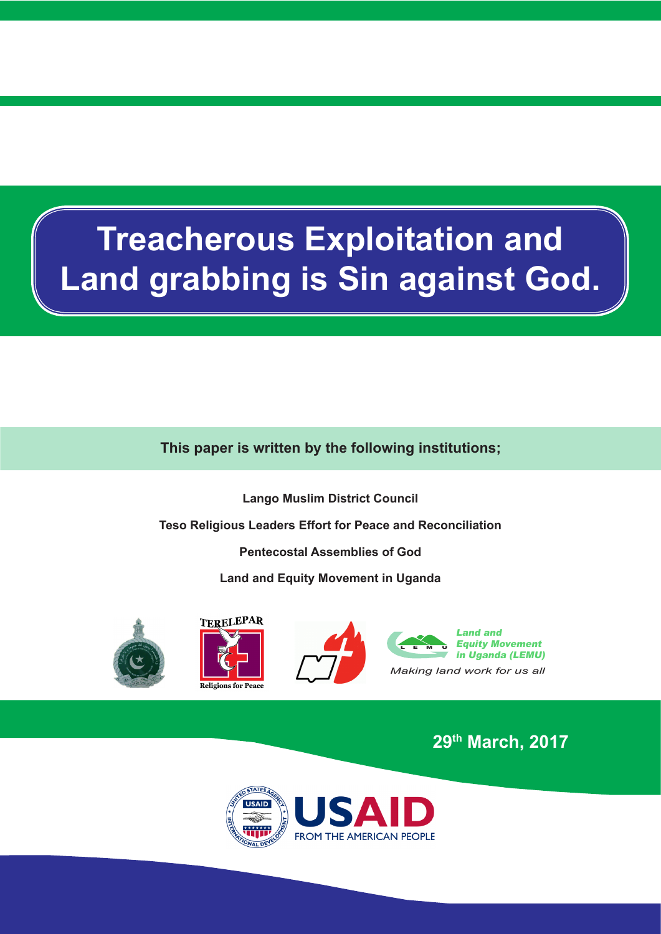# **Treacherous Exploitation and Land grabbing is Sin against God.**

# **This paper is written by the following institutions;**

**Lango Muslim District Council** 

**Teso Religious Leaders Effort for Peace and Reconciliation** 

**Pentecostal Assemblies of God**

**Land and Equity Movement in Uganda** 









**29th March, 2017**

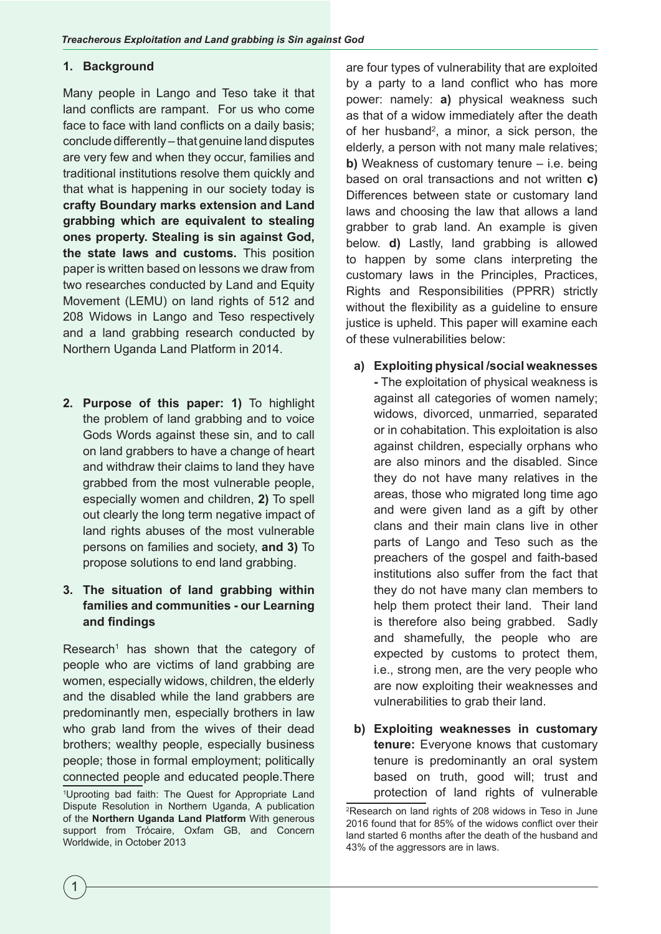#### **1. Background**

Many people in Lango and Teso take it that land conflicts are rampant. For us who come face to face with land conflicts on a daily basis; conclude differently – that genuine land disputes are very few and when they occur, families and traditional institutions resolve them quickly and that what is happening in our society today is **crafty Boundary marks extension and Land grabbing which are equivalent to stealing ones property. Stealing is sin against God, the state laws and customs.** This position paper is written based on lessons we draw from two researches conducted by Land and Equity Movement (LEMU) on land rights of 512 and 208 Widows in Lango and Teso respectively and a land grabbing research conducted by Northern Uganda Land Platform in 2014.

**2. Purpose of this paper: 1)** To highlight the problem of land grabbing and to voice Gods Words against these sin, and to call on land grabbers to have a change of heart and withdraw their claims to land they have grabbed from the most vulnerable people, especially women and children, **2)** To spell out clearly the long term negative impact of land rights abuses of the most vulnerable persons on families and society, **and 3)** To propose solutions to end land grabbing.

### **3. The situation of land grabbing within families and communities - our Learning and findings**

Research<sup>1</sup> has shown that the category of people who are victims of land grabbing are women, especially widows, children, the elderly and the disabled while the land grabbers are predominantly men, especially brothers in law who grab land from the wives of their dead brothers; wealthy people, especially business people; those in formal employment; politically connected people and educated people.There

are four types of vulnerability that are exploited by a party to a land conflict who has more power: namely: **a)** physical weakness such as that of a widow immediately after the death of her husband<sup>2</sup>, a minor, a sick person, the elderly, a person with not many male relatives; **b)** Weakness of customary tenure – i.e. being based on oral transactions and not written **c)**  Differences between state or customary land laws and choosing the law that allows a land grabber to grab land. An example is given below. **d)** Lastly, land grabbing is allowed to happen by some clans interpreting the customary laws in the Principles, Practices, Rights and Responsibilities (PPRR) strictly without the flexibility as a guideline to ensure justice is upheld. This paper will examine each of these vulnerabilities below:

#### **a) Exploiting physical /social weaknesses**

**-** The exploitation of physical weakness is against all categories of women namely; widows, divorced, unmarried, separated or in cohabitation. This exploitation is also against children, especially orphans who are also minors and the disabled. Since they do not have many relatives in the areas, those who migrated long time ago and were given land as a gift by other clans and their main clans live in other parts of Lango and Teso such as the preachers of the gospel and faith-based institutions also suffer from the fact that they do not have many clan members to help them protect their land. Their land is therefore also being grabbed. Sadly and shamefully, the people who are expected by customs to protect them, i.e., strong men, are the very people who are now exploiting their weaknesses and vulnerabilities to grab their land.

**b) Exploiting weaknesses in customary tenure:** Everyone knows that customary tenure is predominantly an oral system based on truth, good will; trust and protection of land rights of vulnerable

<sup>1</sup> Uprooting bad faith: The Quest for Appropriate Land Dispute Resolution in Northern Uganda, A publication of the **Northern Uganda Land Platform** With generous support from Trócaire, Oxfam GB, and Concern Worldwide, in October 2013

<sup>2</sup> Research on land rights of 208 widows in Teso in June 2016 found that for 85% of the widows conflict over their land started 6 months after the death of the husband and 43% of the aggressors are in laws.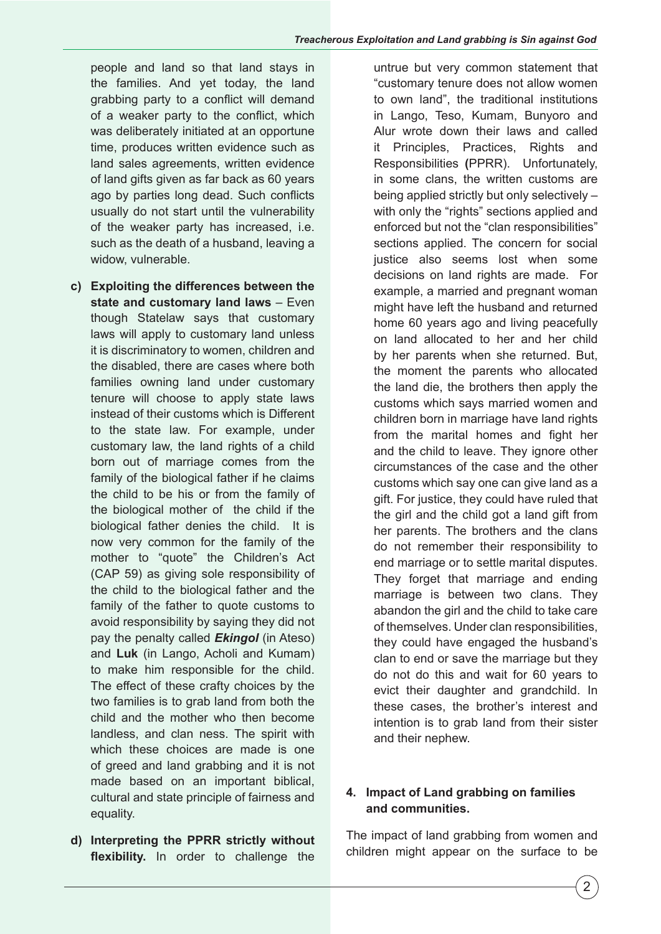people and land so that land stays in the families. And yet today, the land grabbing party to a conflict will demand of a weaker party to the conflict, which was deliberately initiated at an opportune time, produces written evidence such as land sales agreements, written evidence of land gifts given as far back as 60 years ago by parties long dead. Such conflicts usually do not start until the vulnerability of the weaker party has increased, i.e. such as the death of a husband, leaving a widow, vulnerable.

- **c) Exploiting the differences between the state and customary land laws** – Even though Statelaw says that customary laws will apply to customary land unless it is discriminatory to women, children and the disabled, there are cases where both families owning land under customary tenure will choose to apply state laws instead of their customs which is Different to the state law. For example, under customary law, the land rights of a child born out of marriage comes from the family of the biological father if he claims the child to be his or from the family of the biological mother of the child if the biological father denies the child. It is now very common for the family of the mother to "quote" the Children's Act (CAP 59) as giving sole responsibility of the child to the biological father and the family of the father to quote customs to avoid responsibility by saying they did not pay the penalty called *Ekingol* (in Ateso) and **Luk** (in Lango, Acholi and Kumam) to make him responsible for the child. The effect of these crafty choices by the two families is to grab land from both the child and the mother who then become landless, and clan ness. The spirit with which these choices are made is one of greed and land grabbing and it is not made based on an important biblical, cultural and state principle of fairness and equality.
- **d) Interpreting the PPRR strictly without flexibility.** In order to challenge the

untrue but very common statement that "customary tenure does not allow women to own land", the traditional institutions in Lango, Teso, Kumam, Bunyoro and Alur wrote down their laws and called it Principles, Practices, Rights and Responsibilities **(**PPRR). Unfortunately, in some clans, the written customs are being applied strictly but only selectively – with only the "rights" sections applied and enforced but not the "clan responsibilities" sections applied. The concern for social justice also seems lost when some decisions on land rights are made. For example, a married and pregnant woman might have left the husband and returned home 60 years ago and living peacefully on land allocated to her and her child by her parents when she returned. But, the moment the parents who allocated the land die, the brothers then apply the customs which says married women and children born in marriage have land rights from the marital homes and fight her and the child to leave. They ignore other circumstances of the case and the other customs which say one can give land as a gift. For justice, they could have ruled that the girl and the child got a land gift from her parents. The brothers and the clans do not remember their responsibility to end marriage or to settle marital disputes. They forget that marriage and ending marriage is between two clans. They abandon the girl and the child to take care of themselves. Under clan responsibilities, they could have engaged the husband's clan to end or save the marriage but they do not do this and wait for 60 years to evict their daughter and grandchild. In these cases, the brother's interest and intention is to grab land from their sister and their nephew.

### **4. Impact of Land grabbing on families and communities.**

The impact of land grabbing from women and children might appear on the surface to be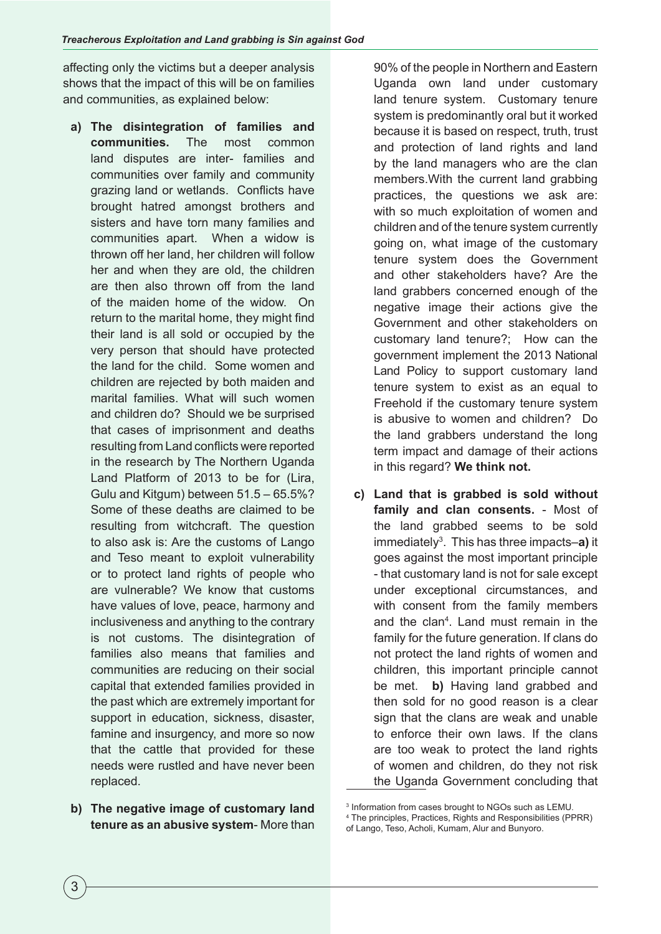affecting only the victims but a deeper analysis shows that the impact of this will be on families and communities, as explained below:

- **a) The disintegration of families and communities.** The most common land disputes are inter- families and communities over family and community grazing land or wetlands. Conflicts have brought hatred amongst brothers and sisters and have torn many families and communities apart. When a widow is thrown off her land, her children will follow her and when they are old, the children are then also thrown off from the land of the maiden home of the widow. On return to the marital home, they might find their land is all sold or occupied by the very person that should have protected the land for the child. Some women and children are rejected by both maiden and marital families. What will such women and children do? Should we be surprised that cases of imprisonment and deaths resulting from Land conflicts were reported in the research by The Northern Uganda Land Platform of 2013 to be for (Lira, Gulu and Kitgum) between 51.5 – 65.5%? Some of these deaths are claimed to be resulting from witchcraft. The question to also ask is: Are the customs of Lango and Teso meant to exploit vulnerability or to protect land rights of people who are vulnerable? We know that customs have values of love, peace, harmony and inclusiveness and anything to the contrary is not customs. The disintegration of families also means that families and communities are reducing on their social capital that extended families provided in the past which are extremely important for support in education, sickness, disaster, famine and insurgency, and more so now that the cattle that provided for these needs were rustled and have never been replaced.
- **b) The negative image of customary land tenure as an abusive system**- More than

90% of the people in Northern and Eastern Uganda own land under customary land tenure system. Customary tenure system is predominantly oral but it worked because it is based on respect, truth, trust and protection of land rights and land by the land managers who are the clan members.With the current land grabbing practices, the questions we ask are: with so much exploitation of women and children and of the tenure system currently going on, what image of the customary tenure system does the Government and other stakeholders have? Are the land grabbers concerned enough of the negative image their actions give the Government and other stakeholders on customary land tenure?; How can the government implement the 2013 National Land Policy to support customary land tenure system to exist as an equal to Freehold if the customary tenure system is abusive to women and children? Do the land grabbers understand the long term impact and damage of their actions in this regard? **We think not.**

**c) Land that is grabbed is sold without family and clan consents.** - Most of the land grabbed seems to be sold immediately3 . This has three impacts–**a)** it goes against the most important principle - that customary land is not for sale except under exceptional circumstances, and with consent from the family members and the clan<sup>4</sup> . Land must remain in the family for the future generation. If clans do not protect the land rights of women and children, this important principle cannot be met. **b)** Having land grabbed and then sold for no good reason is a clear sign that the clans are weak and unable to enforce their own laws. If the clans are too weak to protect the land rights of women and children, do they not risk the Uganda Government concluding that

of Lango, Teso, Acholi, Kumam, Alur and Bunyoro.

<sup>3</sup> Information from cases brought to NGOs such as LEMU.

<sup>4</sup> The principles, Practices, Rights and Responsibilities (PPRR)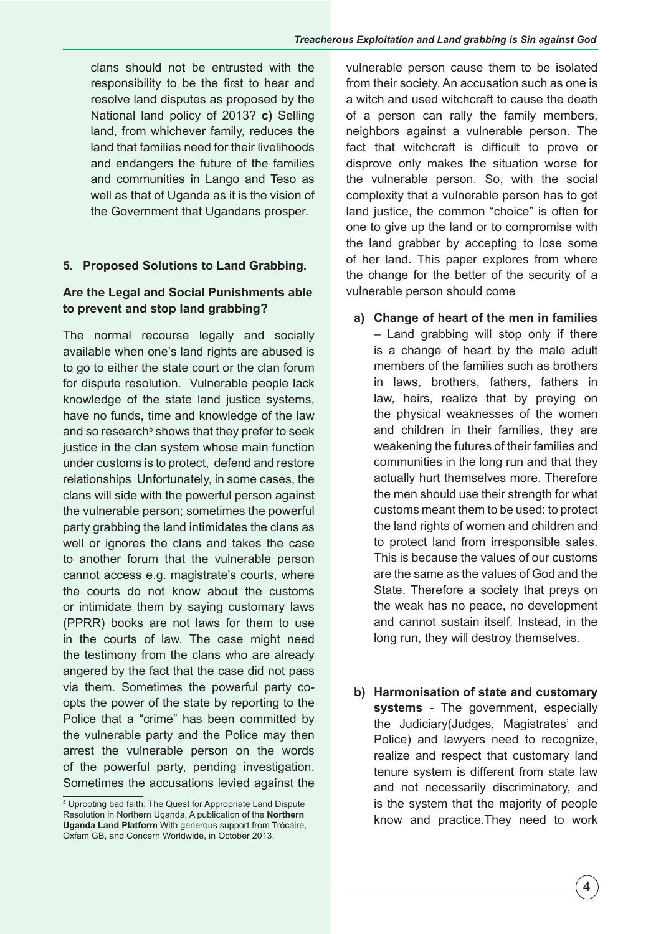clans should not be entrusted with the responsibility to be the first to hear and resolve land disputes as proposed by the National land policy of 2013? **c)** Selling land, from whichever family, reduces the land that families need for their livelihoods and endangers the future of the families and communities in Lango and Teso as well as that of Uganda as it is the vision of the Government that Ugandans prosper.

# **5. Proposed Solutions to Land Grabbing.**

## **Are the Legal and Social Punishments able to prevent and stop land grabbing?**

The normal recourse legally and socially available when one's land rights are abused is to go to either the state court or the clan forum for dispute resolution. Vulnerable people lack knowledge of the state land justice systems, have no funds, time and knowledge of the law and so research<sup>5</sup> shows that they prefer to seek justice in the clan system whose main function under customs is to protect, defend and restore relationships Unfortunately, in some cases, the clans will side with the powerful person against the vulnerable person; sometimes the powerful party grabbing the land intimidates the clans as well or ignores the clans and takes the case to another forum that the vulnerable person cannot access e.g. magistrate's courts, where the courts do not know about the customs or intimidate them by saying customary laws (PPRR) books are not laws for them to use in the courts of law. The case might need the testimony from the clans who are already angered by the fact that the case did not pass via them. Sometimes the powerful party coopts the power of the state by reporting to the Police that a "crime" has been committed by the vulnerable party and the Police may then arrest the vulnerable person on the words of the powerful party, pending investigation. Sometimes the accusations levied against the

vulnerable person cause them to be isolated from their society. An accusation such as one is a witch and used witchcraft to cause the death of a person can rally the family members, neighbors against a vulnerable person. The fact that witchcraft is difficult to prove or disprove only makes the situation worse for the vulnerable person. So, with the social complexity that a vulnerable person has to get land justice, the common "choice" is often for one to give up the land or to compromise with the land grabber by accepting to lose some of her land. This paper explores from where the change for the better of the security of a vulnerable person should come

- **a) Change of heart of the men in families** – Land grabbing will stop only if there is a change of heart by the male adult members of the families such as brothers in laws, brothers, fathers, fathers in law, heirs, realize that by preying on the physical weaknesses of the women and children in their families, they are weakening the futures of their families and communities in the long run and that they actually hurt themselves more. Therefore the men should use their strength for what customs meant them to be used: to protect the land rights of women and children and to protect land from irresponsible sales. This is because the values of our customs are the same as the values of God and the State. Therefore a society that preys on the weak has no peace, no development and cannot sustain itself. Instead, in the long run, they will destroy themselves.
- **b) Harmonisation of state and customary systems** - The government, especially the Judiciary(Judges, Magistrates' and Police) and lawyers need to recognize, realize and respect that customary land tenure system is different from state law and not necessarily discriminatory, and is the system that the majority of people know and practice.They need to work

<sup>5</sup> Uprooting bad faith: The Quest for Appropriate Land Dispute Resolution in Northern Uganda, A publication of the **Northern Uganda Land Platform** With generous support from Trócaire, Oxfam GB, and Concern Worldwide, in October 2013.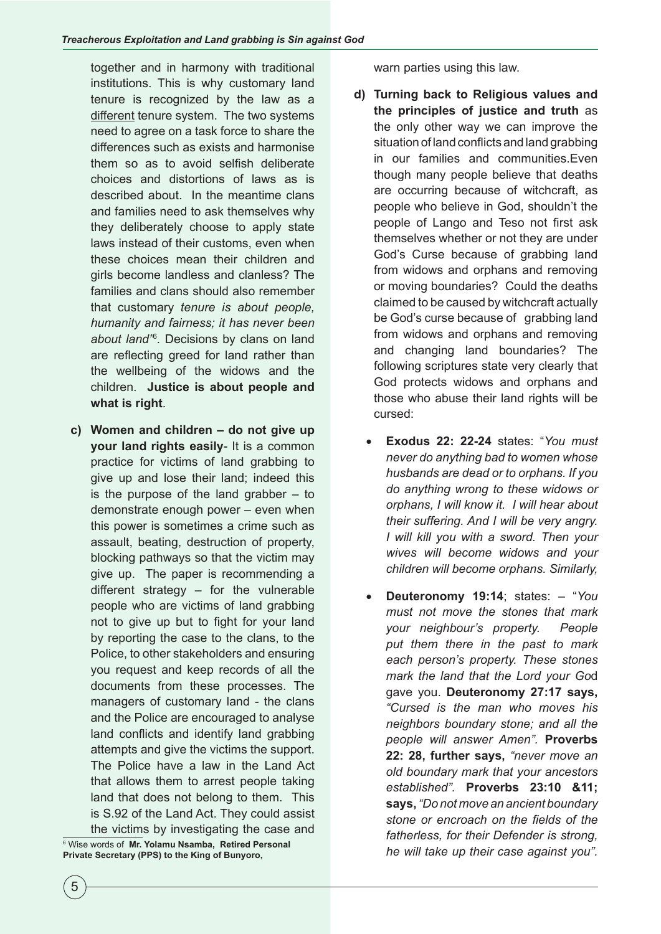together and in harmony with traditional institutions. This is why customary land tenure is recognized by the law as a different tenure system. The two systems need to agree on a task force to share the differences such as exists and harmonise them so as to avoid selfish deliberate choices and distortions of laws as is described about. In the meantime clans and families need to ask themselves why they deliberately choose to apply state laws instead of their customs, even when these choices mean their children and girls become landless and clanless? The families and clans should also remember that customary *tenure is about people, humanity and fairness; it has never been about land"*<sup>6</sup> *.* Decisions by clans on land are reflecting greed for land rather than the wellbeing of the widows and the children. **Justice is about people and what is right**.

**c) Women and children – do not give up your land rights easily**- It is a common practice for victims of land grabbing to give up and lose their land; indeed this is the purpose of the land grabber  $-$  to demonstrate enough power – even when this power is sometimes a crime such as assault, beating, destruction of property, blocking pathways so that the victim may give up. The paper is recommending a different strategy – for the vulnerable people who are victims of land grabbing not to give up but to fight for your land by reporting the case to the clans, to the Police, to other stakeholders and ensuring you request and keep records of all the documents from these processes. The managers of customary land - the clans and the Police are encouraged to analyse land conflicts and identify land grabbing attempts and give the victims the support. The Police have a law in the Land Act that allows them to arrest people taking land that does not belong to them. This is S.92 of the Land Act. They could assist the victims by investigating the case and

 Wise words of **Mr. Yolamu Nsamba, Retired Personal Private Secretary (PPS) to the King of Bunyoro,** 

warn parties using this law.

- **d) Turning back to Religious values and the principles of justice and truth** as the only other way we can improve the situation of land conflicts and land grabbing in our families and communities.Even though many people believe that deaths are occurring because of witchcraft, as people who believe in God, shouldn't the people of Lango and Teso not first ask themselves whether or not they are under God's Curse because of grabbing land from widows and orphans and removing or moving boundaries? Could the deaths claimed to be caused by witchcraft actually be God's curse because of grabbing land from widows and orphans and removing and changing land boundaries? The following scriptures state very clearly that God protects widows and orphans and those who abuse their land rights will be cursed:
	- • **Exodus 22: 22-24** states: "*You must never do anything bad to women whose husbands are dead or to orphans. If you do anything wrong to these widows or orphans, I will know it. I will hear about their suffering. And I will be very angry. I will kill you with a sword. Then your wives will become widows and your children will become orphans. Similarly,*
	- • **Deuteronomy 19:14**; states: "*You must not move the stones that mark your neighbour's property. People put them there in the past to mark each person's property. These stones mark the land that the Lord your Go*d gave you. **Deuteronomy 27:17 says,**  *"Cursed is the man who moves his neighbors boundary stone; and all the people will answer Amen".* **Proverbs 22: 28, further says,** *"never move an old boundary mark that your ancestors established".* **Proverbs 23:10 &11; says,** *"Do not move an ancient boundary stone or encroach on the fields of the fatherless, for their Defender is strong, he will take up their case against you".*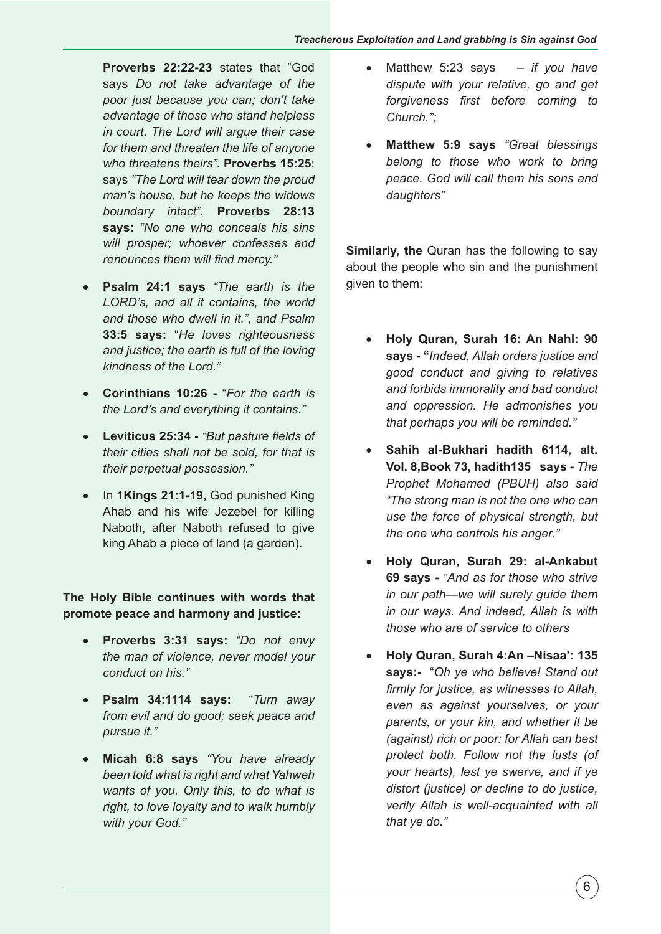**Proverbs 22:22-23** states that "God says *Do not take advantage of the poor just because you can; don't take advantage of those who stand helpless in court. The Lord will argue their case for them and threaten the life of anyone who threatens theirs".* **Proverbs 15:25**; says *"The Lord will tear down the proud man's house, but he keeps the widows boundary intact".* **Proverbs 28:13 says:** *"No one who conceals his sins will prosper; whoever confesses and renounces them will find mercy."*

- • **Psalm 24:1 says** *"The earth is the LORD's, and all it contains, the world and those who dwell in it.", and Psalm* **33:5 says:** "*He loves righteousness and justice; the earth is full of the loving kindness of the Lord."*
- • **Corinthians 10:26** "*For the earth is the Lord's and everything it contains."*
- • **Leviticus 25:34** *"But pasture fields of their cities shall not be sold, for that is their perpetual possession."*
- • In **1Kings 21:1-19,** God punished King Ahab and his wife Jezebel for killing Naboth, after Naboth refused to give king Ahab a piece of land (a garden).

**The Holy Bible continues with words that promote peace and harmony and justice:**

- • **Proverbs 3:31 says:** *"Do not envy the man of violence, never model your conduct on his."*
- • **Psalm 34:1114 says:** "*Turn away from evil and do good; seek peace and pursue it."*
- • **Micah 6:8 says** *"You have already been told what is right and what Yahweh wants of you. Only this, to do what is right, to love loyalty and to walk humbly with your God."*
- • Matthew 5:23 says *if you have dispute with your relative, go and get forgiveness first before coming to Church.";*
- • **Matthew 5:9 says** *"Great blessings belong to those who work to bring peace. God will call them his sons and daughters"*

**Similarly, the** Quran has the following to say about the people who sin and the punishment given to them:

- • **Holy Quran, Surah 16: An Nahl: 90 says - "***Indeed, Allah orders justice and good conduct and giving to relatives and forbids immorality and bad conduct and oppression. He admonishes you that perhaps you will be reminded."*
- Sahih al-Bukhari hadith 6114, alt. **Vol. 8,Book 73, hadith135 says** *- The Prophet Mohamed (PBUH) also said "The strong man is not the one who can use the force of physical strength, but the one who controls his anger."*
- • **Holy Quran, Surah 29: al-Ankabut 69 says -** *"And as for those who strive in our path—we will surely guide them in our ways. And indeed, Allah is with those who are of service to others*
- • **Holy Quran, Surah 4:An –Nisaa': 135 says:-** "*Oh ye who believe! Stand out firmly for justice, as witnesses to Allah, even as against yourselves, or your parents, or your kin, and whether it be (against) rich or poor: for Allah can best protect both. Follow not the lusts (of your hearts), lest ye swerve, and if ye distort (justice) or decline to do justice, verily Allah is well-acquainted with all that ye do."*